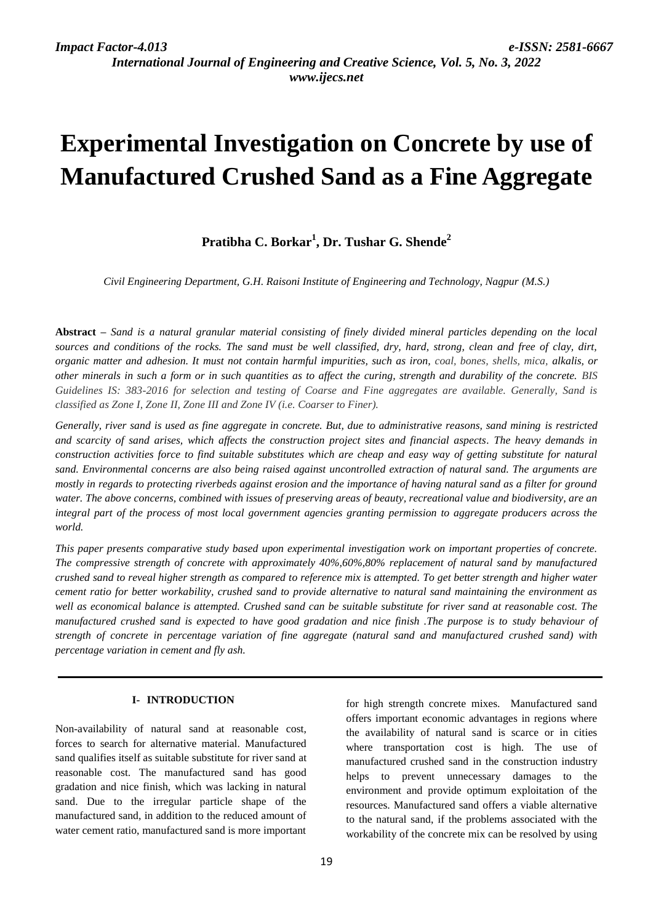*International Journal of Engineering and Creative Science, Vol. 5, No. 3, 2022 www.ijecs.net*

# **Experimental Investigation on Concrete by use of Manufactured Crushed Sand as a Fine Aggregate**

# **Pratibha C. Borkar<sup>1</sup> , Dr. Tushar G. Shende<sup>2</sup>**

*Civil Engineering Department, G.H. Raisoni Institute of Engineering and Technology, Nagpur (M.S.)*

**Abstract** *– Sand is a natural granular material consisting of finely divided mineral particles depending on the local sources and conditions of the rocks. The sand must be well classified, dry, hard, strong, clean and free of clay, dirt, organic matter and adhesion. It must not contain harmful impurities, such as iron, coal, bones, shells, mica, alkalis, or other minerals in such a form or in such quantities as to affect the curing, strength and durability of the concrete. BIS Guidelines IS: 383-2016 for selection and testing of Coarse and Fine aggregates are available. Generally, Sand is classified as Zone I, Zone II, Zone III and Zone IV (i.e. Coarser to Finer).*

*Generally, river sand is used as fine aggregate in concrete. But, due to administrative reasons, sand mining is restricted and scarcity of sand arises, which affects the construction project sites and financial aspects. The heavy demands in construction activities force to find suitable substitutes which are cheap and easy way of getting substitute for natural sand. Environmental concerns are also being raised against uncontrolled extraction of natural sand. The arguments are mostly in regards to protecting riverbeds against erosion and the importance of having natural sand as a filter for ground water. The above concerns, combined with issues of preserving areas of beauty, recreational value and biodiversity, are an integral part of the process of most local government agencies granting permission to aggregate producers across the world.*

*This paper presents comparative study based upon experimental investigation work on important properties of concrete. The compressive strength of concrete with approximately 40%,60%,80% replacement of natural sand by manufactured crushed sand to reveal higher strength as compared to reference mix is attempted. To get better strength and higher water cement ratio for better workability, crushed sand to provide alternative to natural sand maintaining the environment as well as economical balance is attempted. Crushed sand can be suitable substitute for river sand at reasonable cost. The manufactured crushed sand is expected to have good gradation and nice finish .The purpose is to study behaviour of strength of concrete in percentage variation of fine aggregate (natural sand and manufactured crushed sand) with percentage variation in cement and fly ash.*

#### **I- INTRODUCTION**

Non-availability of natural sand at reasonable cost, forces to search for alternative material. Manufactured sand qualifies itself as suitable substitute for river sand at reasonable cost. The manufactured sand has good gradation and nice finish, which was lacking in natural sand. Due to the irregular particle shape of the manufactured sand, in addition to the reduced amount of water cement ratio, manufactured sand is more important

for high strength concrete mixes. Manufactured sand offers important economic advantages in regions where the availability of natural sand is scarce or in cities where transportation cost is high. The use of manufactured crushed sand in the construction industry helps to prevent unnecessary damages to the environment and provide optimum exploitation of the resources. Manufactured sand offers a viable alternative to the natural sand, if the problems associated with the workability of the concrete mix can be resolved by using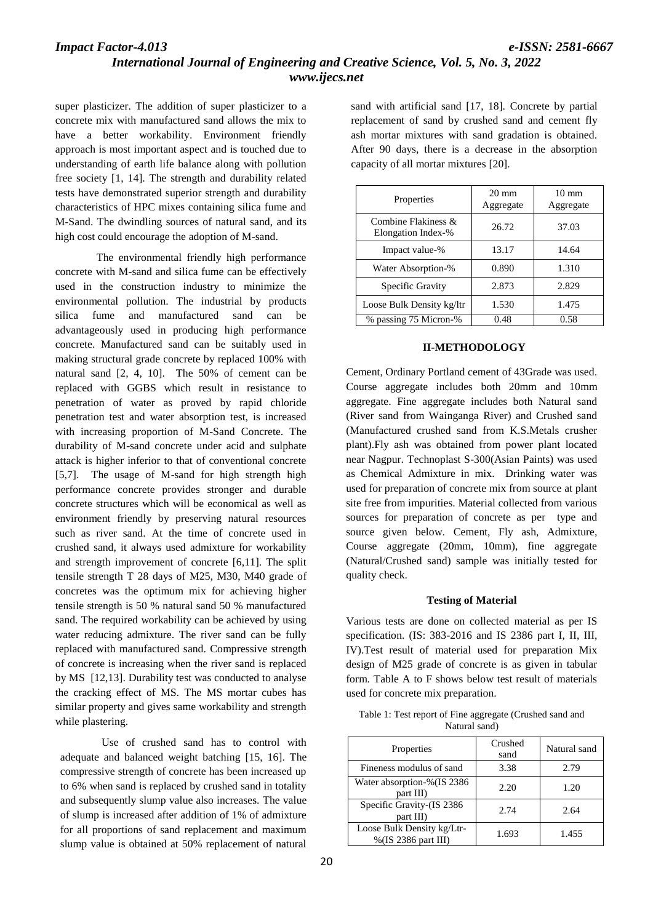# *Impact Factor-4.013 e-ISSN: 2581-6667 International Journal of Engineering and Creative Science, Vol. 5, No. 3, 2022 www.ijecs.net*

super plasticizer. The addition of super plasticizer to a concrete mix with manufactured sand allows the mix to have a better workability. Environment friendly approach is most important aspect and is touched due to understanding of earth life balance along with pollution free society [1, 14]. The strength and durability related tests have demonstrated superior strength and durability characteristics of HPC mixes containing silica fume and M-Sand. The dwindling sources of natural sand, and its high cost could encourage the adoption of M-sand.

 The environmental friendly high performance concrete with M-sand and silica fume can be effectively used in the construction industry to minimize the environmental pollution. The industrial by products silica fume and manufactured sand can be advantageously used in producing high performance concrete. Manufactured sand can be suitably used in making structural grade concrete by replaced 100% with natural sand [2, 4, 10]. The 50% of cement can be replaced with GGBS which result in resistance to penetration of water as proved by rapid chloride penetration test and water absorption test, is increased with increasing proportion of M-Sand Concrete. The durability of M-sand concrete under acid and sulphate attack is higher inferior to that of conventional concrete [5,7]. The usage of M-sand for high strength high performance concrete provides stronger and durable concrete structures which will be economical as well as environment friendly by preserving natural resources such as river sand. At the time of concrete used in crushed sand, it always used admixture for workability and strength improvement of concrete [6,11]. The split tensile strength T 28 days of M25, M30, M40 grade of concretes was the optimum mix for achieving higher tensile strength is 50 % natural sand 50 % manufactured sand. The required workability can be achieved by using water reducing admixture. The river sand can be fully replaced with manufactured sand. Compressive strength of concrete is increasing when the river sand is replaced by MS [12,13]. Durability test was conducted to analyse the cracking effect of MS. The MS mortar cubes has similar property and gives same workability and strength while plastering.

 Use of crushed sand has to control with adequate and balanced weight batching [15, 16]. The compressive strength of concrete has been increased up to 6% when sand is replaced by crushed sand in totality and subsequently slump value also increases. The value of slump is increased after addition of 1% of admixture for all proportions of sand replacement and maximum slump value is obtained at 50% replacement of natural

sand with artificial sand [17, 18]. Concrete by partial replacement of sand by crushed sand and cement fly ash mortar mixtures with sand gradation is obtained. After 90 days, there is a decrease in the absorption capacity of all mortar mixtures [20].

| Properties                                   | $20 \text{ mm}$<br>Aggregate | $10 \text{ mm}$<br>Aggregate |
|----------------------------------------------|------------------------------|------------------------------|
| Combine Flakiness $\&$<br>Elongation Index-% | 26.72                        | 37.03                        |
| Impact value-%                               | 13.17                        | 14.64                        |
| Water Absorption-%                           | 0.890                        | 1.310                        |
| Specific Gravity                             | 2.873                        | 2.829                        |
| Loose Bulk Density kg/ltr                    | 1.530                        | 1.475                        |
| % passing 75 Micron-%                        | 0.48                         | 0.58                         |

#### **II-METHODOLOGY**

Cement, Ordinary Portland cement of 43Grade was used. Course aggregate includes both 20mm and 10mm aggregate. Fine aggregate includes both Natural sand (River sand from Wainganga River) and Crushed sand (Manufactured crushed sand from K.S.Metals crusher plant).Fly ash was obtained from power plant located near Nagpur. Technoplast S-300(Asian Paints) was used as Chemical Admixture in mix. Drinking water was used for preparation of concrete mix from source at plant site free from impurities. Material collected from various sources for preparation of concrete as per type and source given below. Cement, Fly ash, Admixture, Course aggregate (20mm, 10mm), fine aggregate (Natural/Crushed sand) sample was initially tested for quality check.

#### **Testing of Material**

Various tests are done on collected material as per IS specification. (IS: 383-2016 and IS 2386 part I, II, III, IV).Test result of material used for preparation Mix design of M25 grade of concrete is as given in tabular form. Table A to F shows below test result of materials used for concrete mix preparation.

| Table 1: Test report of Fine aggregate (Crushed sand and |  |
|----------------------------------------------------------|--|
| Natural sand)                                            |  |

| Properties                                        | Crushed<br>sand | Natural sand |
|---------------------------------------------------|-----------------|--------------|
| Fineness modulus of sand                          | 3.38            | 2.79         |
| Water absorption-%(IS 2386<br>part III)           | 2.20            | 1.20         |
| Specific Gravity-(IS 2386<br>part III)            | 2.74            | 2.64         |
| Loose Bulk Density kg/Ltr-<br>%(IS 2386 part III) | 1.693           | 1.455        |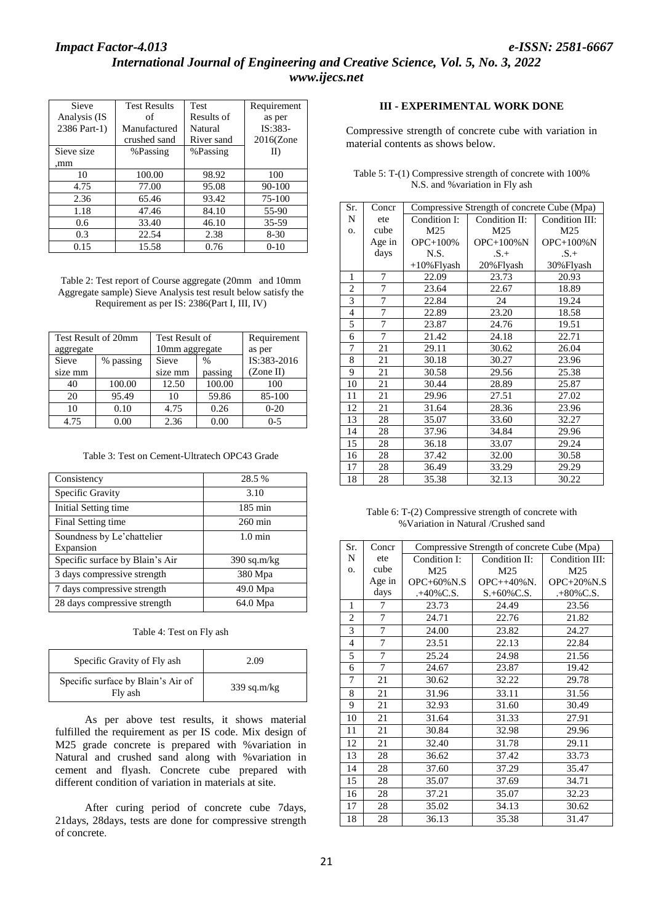| Sieve        | <b>Test Results</b> | <b>Test</b> | Requirement  |
|--------------|---------------------|-------------|--------------|
| Analysis (IS | of                  | Results of  | as per       |
| 2386 Part-1) | Manufactured        | Natural     | IS:383-      |
|              | crushed sand        | River sand  | $2016$ (Zone |
| Sieve size   | %Passing            | %Passing    | II)          |
| .mm          |                     |             |              |
| 10           | 100.00              | 98.92       | 100          |
| 4.75         | 77.00               | 95.08       | $90 - 100$   |
| 2.36         | 65.46               | 93.42       | 75-100       |
| 1.18         | 47.46               | 84.10       | 55-90        |
| 0.6          | 33.40               | 46.10       | 35-59        |
| 0.3          | 22.54               | 2.38        | $8 - 30$     |
| 0.15         | 15.58               | 0.76        | $0-10$       |

Table 2: Test report of Course aggregate (20mm and 10mm Aggregate sample) Sieve Analysis test result below satisfy the Requirement as per IS: 2386(Part I, III, IV)

|           | Test Result of 20mm | Test Result of     |        | Requirement           |
|-----------|---------------------|--------------------|--------|-----------------------|
| aggregate |                     | 10mm aggregate     |        | as per<br>IS:383-2016 |
| Sieve     | % passing           | Sieve              | %      |                       |
| size mm   |                     | passing<br>size mm |        | (Zone II)             |
| 40        | 100.00              | 12.50              | 100.00 | 100                   |
| 20        | 95.49               | 10                 | 59.86  | 85-100                |
| 10        | 0.10                | 4.75               | 0.26   | $0 - 20$              |
| 4.75      | 0.00                | 2.36               | 0.00   | $0 - 5$               |

Table 3: Test on Cement-Ultratech OPC43 Grade

| Consistency                     | 28.5 %            |  |
|---------------------------------|-------------------|--|
| Specific Gravity                | 3.10              |  |
| Initial Setting time            | $185 \text{ min}$ |  |
| Final Setting time              | $260 \text{ min}$ |  |
| Soundness by Le'chattelier      | $1.0 \text{ min}$ |  |
| Expansion                       |                   |  |
| Specific surface by Blain's Air | $390$ sq.m/kg     |  |
| 3 days compressive strength     | 380 Mpa           |  |
| 7 days compressive strength     | 49.0 Mpa          |  |
| 28 days compressive strength    | 64.0 Mpa          |  |

Table 4: Test on Fly ash

| Specific Gravity of Fly ash                   | 2.09          |
|-----------------------------------------------|---------------|
| Specific surface by Blain's Air of<br>Fly ash | $339$ sq.m/kg |

As per above test results, it shows material fulfilled the requirement as per IS code. Mix design of M25 grade concrete is prepared with %variation in Natural and crushed sand along with %variation in cement and flyash. Concrete cube prepared with different condition of variation in materials at site.

After curing period of concrete cube 7days, 21days, 28days, tests are done for compressive strength of concrete.

## **III - EXPERIMENTAL WORK DONE**

Compressive strength of concrete cube with variation in material contents as shows below.

| Sr.            | Concr  | Compressive Strength of concrete Cube (Mpa) |               |                |
|----------------|--------|---------------------------------------------|---------------|----------------|
| N              | ete    | Condition I:                                | Condition II: | Condition III: |
| 0.             | cube   | M25                                         | M25           | M25            |
|                | Age in | OPC+100%                                    | $OPC+100\%N$  | $OPC+100\%N$   |
|                | days   | N.S.                                        | $S_{+}$       | $.S.+$         |
|                |        | $+10\%$ Flyash                              | 20% Flyash    | 30% Flyash     |
| 1              | 7      | 22.09                                       | 23.73         | 20.93          |
| $\overline{2}$ | 7      | 23.64                                       | 22.67         | 18.89          |
| 3              | 7      | 22.84                                       | 24            | 19.24          |
| $\overline{4}$ | 7      | 22.89                                       | 23.20         | 18.58          |
| 5              | 7      | 23.87                                       | 24.76         | 19.51          |
| 6              | 7      | 21.42                                       | 24.18         | 22.71          |
| 7              | 21     | 29.11                                       | 30.62         | 26.04          |
| 8              | 21     | 30.18                                       | 30.27         | 23.96          |
| 9              | 21     | 30.58                                       | 29.56         | 25.38          |
| 10             | 21     | 30.44                                       | 28.89         | 25.87          |
| 11             | 21     | 29.96                                       | 27.51         | 27.02          |
| 12             | 21     | 31.64                                       | 28.36         | 23.96          |
| 13             | 28     | 35.07                                       | 33.60         | 32.27          |
| 14             | 28     | 37.96                                       | 34.84         | 29.96          |
| 15             | 28     | 36.18                                       | 33.07         | 29.24          |
| 16             | 28     | 37.42                                       | 32.00         | 30.58          |
| 17             | 28     | 36.49                                       | 33.29         | 29.29          |
| 18             | 28     | 35.38                                       | 32.13         | 30.22          |

Table 5: T-(1) Compressive strength of concrete with 100% N.S. and %variation in Fly ash

Table 6: T-(2) Compressive strength of concrete with %Variation in Natural /Crushed sand

| Sr.            | Concr  | Compressive Strength of concrete Cube (Mpa) |                |                |
|----------------|--------|---------------------------------------------|----------------|----------------|
| N              | ete    | Condition I:                                | Condition II:  | Condition III: |
| О.             | cube   | M25                                         | M25            | M25            |
|                | Age in | $OPC+60\%$ N.S                              | $OPC++40\%N$ . | $OPC+20\%$ N.S |
|                | days   | $. +40\%$ C.S.                              | $S.+60\%C.S.$  | $. +80\%$ C.S. |
| 1              | 7      | 23.73                                       | 24.49          | 23.56          |
| $\overline{2}$ | 7      | 24.71                                       | 22.76          | 21.82          |
| 3              | 7      | 24.00                                       | 23.82          | 24.27          |
| 4              | 7      | 23.51                                       | 22.13          | 22.84          |
| 5              | 7      | 25.24                                       | 24.98          | 21.56          |
| 6              | 7      | 24.67                                       | 23.87          | 19.42          |
| 7              | 21     | 30.62                                       | 32.22          | 29.78          |
| 8              | 21     | 31.96                                       | 33.11          | 31.56          |
| 9              | 21     | 32.93                                       | 31.60          | 30.49          |
| 10             | 21     | 31.64                                       | 31.33          | 27.91          |
| 11             | 21     | 30.84                                       | 32.98          | 29.96          |
| 12             | 21     | 32.40                                       | 31.78          | 29.11          |
| 13             | 28     | 36.62                                       | 37.42          | 33.73          |
| 14             | 28     | 37.60                                       | 37.29          | 35.47          |
| 15             | 28     | 35.07                                       | 37.69          | 34.71          |
| 16             | 28     | 37.21                                       | 35.07          | 32.23          |
| 17             | 28     | 35.02                                       | 34.13          | 30.62          |
| 18             | 28     | 36.13                                       | 35.38          | 31.47          |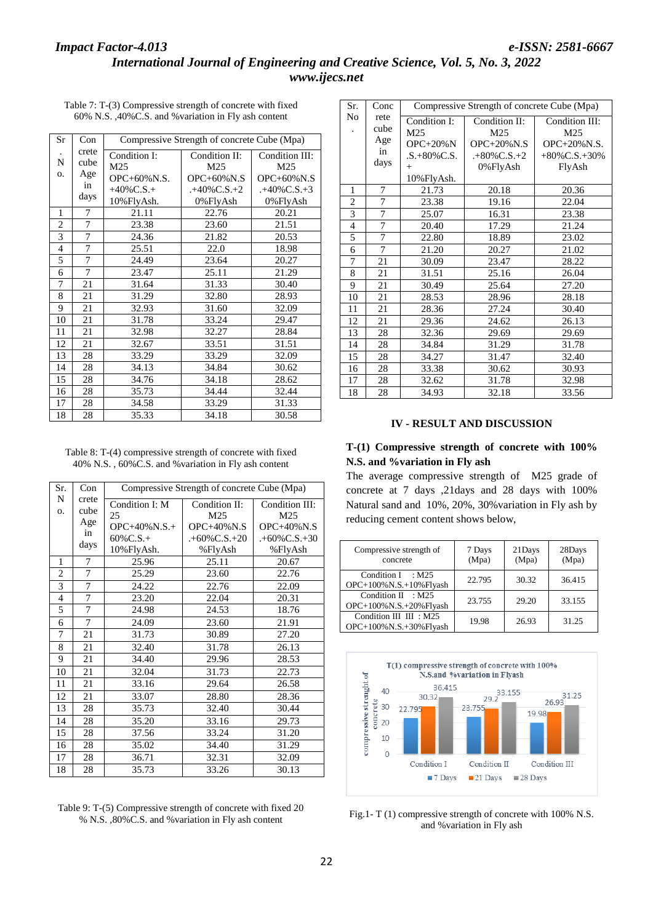| Table 7: T-(3) Compressive strength of concrete with fixed |  |
|------------------------------------------------------------|--|
| 60% N.S., 40% C.S. and % variation in Fly ash content      |  |

| Sr             | Con   | Compressive Strength of concrete Cube (Mpa) |                     |                     |  |
|----------------|-------|---------------------------------------------|---------------------|---------------------|--|
|                | crete | Condition I:                                | Condition II:       | Condition III:      |  |
| N              | cube  | M25                                         | M <sub>25</sub>     | M25                 |  |
| О.             | Age   | OPC+60%N.S.                                 | $OPC+60\%$ N.S      | $OPC+60\%$ N.S      |  |
|                | in    | $+40\%$ C.S.+                               | $. +40\%$ C.S. $+2$ | $. +40\%$ C.S. $+3$ |  |
|                | days  | 10%FlyAsh.                                  | 0%FlyAsh            | 0%FlyAsh            |  |
| 1              | 7     | 21.11                                       | 22.76               | 20.21               |  |
| $\overline{2}$ | 7     | 23.38                                       | 23.60               | 21.51               |  |
| $\overline{3}$ | 7     | 24.36                                       | 21.82               | 20.53               |  |
| $\overline{4}$ | 7     | 25.51                                       | 22.0                | 18.98               |  |
| 5              | 7     | 24.49                                       | 23.64               | 20.27               |  |
| 6              | 7     | 23.47                                       | 25.11               | 21.29               |  |
| 7              | 21    | 31.64                                       | 31.33               | 30.40               |  |
| 8              | 21    | 31.29                                       | 32.80               | 28.93               |  |
| 9              | 21    | 32.93                                       | 31.60               | 32.09               |  |
| 10             | 21    | 31.78                                       | 33.24               | 29.47               |  |
| 11             | 21    | 32.98                                       | 32.27               | 28.84               |  |
| 12             | 21    | 32.67                                       | 33.51               | 31.51               |  |
| 13             | 28    | 33.29                                       | 33.29               | 32.09               |  |
| 14             | 28    | 34.13                                       | 34.84               | 30.62               |  |
| 15             | 28    | 34.76                                       | 34.18               | 28.62               |  |
| 16             | 28    | 35.73                                       | 34.44               | 32.44               |  |
| 17             | 28    | 34.58                                       | 33.29               | 31.33               |  |
| 18             | 28    | 35.33                                       | 34.18               | 30.58               |  |

Table 8: T-(4) compressive strength of concrete with fixed 40% N.S. , 60%C.S. and %variation in Fly ash content

| Sr.            | Con                  | Compressive Strength of concrete Cube (Mpa) |                                        |                                            |  |
|----------------|----------------------|---------------------------------------------|----------------------------------------|--------------------------------------------|--|
| N<br>0.        | crete<br>cube<br>Age | Condition I: M<br>25<br>$OPC+40\%$ N.S.+    | Condition II:<br>M25<br>$OPC+40\%$ N.S | Condition III:<br>M25<br><b>OPC+40%N.S</b> |  |
|                | in<br>days           | $60\%$ C.S.+                                | $. +60\%$ C.S. $+20$                   | $. +60\%$ C.S. $+30$                       |  |
|                |                      | 10%FlyAsh.                                  | %FlyAsh                                | %FlyAsh                                    |  |
| 1              | 7                    | 25.96                                       | 25.11                                  | 20.67                                      |  |
| $\overline{2}$ | $\overline{7}$       | 25.29                                       | 23.60                                  | 22.76                                      |  |
| 3              | 7                    | 24.22                                       | 22.76                                  | 22.09                                      |  |
| $\overline{4}$ | 7                    | 23.20                                       | 22.04                                  | 20.31                                      |  |
| 5              | 7                    | 24.98                                       | 24.53                                  | 18.76                                      |  |
| 6              | $\tau$               | 24.09                                       | 23.60                                  | 21.91                                      |  |
| 7              | 21                   | 31.73                                       | 30.89                                  | 27.20                                      |  |
| 8              | 21                   | 32.40                                       | 31.78                                  | 26.13                                      |  |
| 9              | 21                   | 34.40                                       | 29.96                                  | 28.53                                      |  |
| 10             | 21                   | 32.04                                       | 31.73                                  | 22.73                                      |  |
| 11             | 21                   | 33.16                                       | 29.64                                  | 26.58                                      |  |
| 12             | 21                   | 33.07                                       | 28.80                                  | 28.36                                      |  |
| 13             | 28                   | 35.73                                       | 32.40                                  | 30.44                                      |  |
| 14             | 28                   | 35.20                                       | 33.16                                  | 29.73                                      |  |
| 15             | 28                   | 37.56                                       | 33.24                                  | 31.20                                      |  |
| 16             | 28                   | 35.02                                       | 34.40                                  | 31.29                                      |  |
| 17             | 28                   | 36.71                                       | 32.31                                  | 32.09                                      |  |
| 18             | 28                   | 35.73                                       | 33.26                                  | 30.13                                      |  |

Table 9: T-(5) Compressive strength of concrete with fixed 20 % N.S. ,80%C.S. and %variation in Fly ash content

| Sr.                      | Conc              | Compressive Strength of concrete Cube (Mpa)            |                                                  |                                                   |  |
|--------------------------|-------------------|--------------------------------------------------------|--------------------------------------------------|---------------------------------------------------|--|
| No                       | rete<br>cube      | Condition I:<br>M <sub>25</sub>                        | Condition II:<br>M25                             | Condition III:<br>M25                             |  |
|                          | Age<br>in<br>days | $OPC+20\%N$<br>$.S.+80\% C.S.$<br>$^{+}$<br>10%FlyAsh. | $OPC+20\%$ N.S<br>$.+80\%$ C.S. $+2$<br>0%FlyAsh | $OPC+20\%$ N.S.<br>$+80\%$ C.S. $+30\%$<br>FlyAsh |  |
| 1                        | 7                 | 21.73                                                  | 20.18                                            | 20.36                                             |  |
| $\overline{2}$           | 7                 | 23.38                                                  | 19.16                                            | 22.04                                             |  |
| 3                        | 7                 | 25.07                                                  | 16.31                                            | 23.38                                             |  |
| $\overline{\mathcal{L}}$ | 7                 | 20.40                                                  | 17.29                                            | 21.24                                             |  |
| 5                        | 7                 | 22.80                                                  | 18.89                                            | 23.02                                             |  |
| 6                        | 7                 | 21.20                                                  | 20.27                                            | 21.02                                             |  |
| 7                        | 21                | 30.09                                                  | 23.47                                            | 28.22                                             |  |
| 8                        | 21                | 31.51                                                  | 25.16                                            | 26.04                                             |  |
| 9                        | 21                | 30.49                                                  | 25.64                                            | 27.20                                             |  |
| 10                       | 21                | 28.53                                                  | 28.96                                            | 28.18                                             |  |
| 11                       | 21                | 28.36                                                  | 27.24                                            | 30.40                                             |  |
| 12                       | 21                | 29.36                                                  | 24.62                                            | 26.13                                             |  |
| 13                       | 28                | 32.36                                                  | 29.69                                            | 29.69                                             |  |
| 14                       | 28                | 34.84                                                  | 31.29                                            | 31.78                                             |  |
| 15                       | 28                | 34.27                                                  | 31.47                                            | 32.40                                             |  |
| 16                       | 28                | 33.38                                                  | 30.62                                            | 30.93                                             |  |
| 17                       | 28                | 32.62                                                  | 31.78                                            | 32.98                                             |  |
| 18                       | 28                | 34.93                                                  | 32.18                                            | 33.56                                             |  |

## **IV - RESULT AND DISCUSSION**

## **T-(1) Compressive strength of concrete with 100% N.S. and %variation in Fly ash**

The average compressive strength of M25 grade of concrete at 7 days ,21days and 28 days with 100% Natural sand and 10%, 20%, 30%variation in Fly ash by reducing cement content shows below,

| Compressive strength of<br>concrete               | 7 Days<br>(Mpa) | 21Days<br>(Mpa) | 28Days<br>(Mpa) |
|---------------------------------------------------|-----------------|-----------------|-----------------|
| Condition $I : M25$<br>OPC+100%N.S.+10%Flyash     | 22.795          | 30.32           | 36.415          |
| Condition $II : M25$<br>OPC+100%N.S.+20%Flyash    | 23.755          | 29.20           | 33.155          |
| Condition III III : M25<br>OPC+100%N.S.+30%Flyash | 19.98           | 26.93           | 31.25           |



Fig.1- T (1) compressive strength of concrete with 100% N.S. and %variation in Fly ash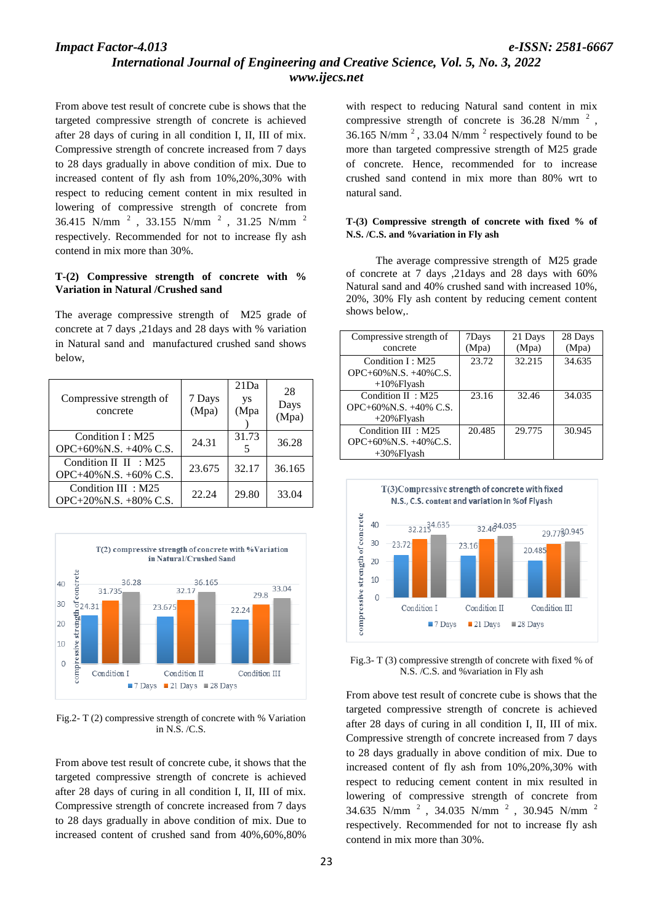# *International Journal of Engineering and Creative Science, Vol. 5, No. 3, 2022 www.ijecs.net*

From above test result of concrete cube is shows that the targeted compressive strength of concrete is achieved after 28 days of curing in all condition I, II, III of mix. Compressive strength of concrete increased from 7 days to 28 days gradually in above condition of mix. Due to increased content of fly ash from 10%,20%,30% with respect to reducing cement content in mix resulted in lowering of compressive strength of concrete from 36.415 N/mm <sup>2</sup>, 33.155 N/mm <sup>2</sup>, 31.25 N/mm <sup>2</sup> respectively. Recommended for not to increase fly ash contend in mix more than 30%.

## **T-(2) Compressive strength of concrete with % Variation in Natural /Crushed sand**

The average compressive strength of M25 grade of concrete at 7 days ,21days and 28 days with % variation in Natural sand and manufactured crushed sand shows below,

| Compressive strength of<br>concrete                 | 7 Days<br>(Mpa) | 21Da<br>ys<br>(Mpa | 28<br>Days<br>(Mpa) |
|-----------------------------------------------------|-----------------|--------------------|---------------------|
| Condition I: M25<br>OPC+60%N.S. $+40\%$ C.S.        | 24.31           | 31.73<br>5         | 36.28               |
| Condition II II : $M25$<br>OPC+40%N.S. +60% C.S.    | 23.675          | 32.17              | 36.165              |
| Condition III : M25<br>$OPC+20\%$ N.S. $+80\%$ C.S. | 22.24           | 29.80              | 33.04               |



Fig.2- T (2) compressive strength of concrete with % Variation in N.S. /C.S.

From above test result of concrete cube, it shows that the targeted compressive strength of concrete is achieved after 28 days of curing in all condition I, II, III of mix. Compressive strength of concrete increased from 7 days to 28 days gradually in above condition of mix. Due to increased content of crushed sand from 40%,60%,80%

with respect to reducing Natural sand content in mix compressive strength of concrete is  $36.28$  N/mm<sup>2</sup>, 36.165 N/mm<sup>2</sup>, 33.04 N/mm<sup>2</sup> respectively found to be more than targeted compressive strength of M25 grade of concrete. Hence, recommended for to increase crushed sand contend in mix more than 80% wrt to natural sand.

### **T-(3) Compressive strength of concrete with fixed % of N.S. /C.S. and %variation in Fly ash**

The average compressive strength of M25 grade of concrete at 7 days ,21days and 28 days with 60% Natural sand and 40% crushed sand with increased 10%, 20%, 30% Fly ash content by reducing cement content shows below,.

| Compressive strength of      | 7Days  | 21 Days | 28 Days |
|------------------------------|--------|---------|---------|
| concrete                     | (Mpa)  | (Mpa)   | (Mpa)   |
| Condition I: M25             | 23.72  | 32.215  | 34.635  |
| $OPC+60\%$ N.S. $+40\%$ C.S. |        |         |         |
| $+10\%$ Flyash               |        |         |         |
| Condition II: M25            | 23.16  | 32.46   | 34.035  |
| OPC+60%N.S. +40% C.S.        |        |         |         |
| $+20\%$ Flyash               |        |         |         |
| Condition III: M25           | 20.485 | 29.775  | 30.945  |
| $OPC+60\%$ N.S. $+40\%$ C.S. |        |         |         |
| $+30\%$ Flyash               |        |         |         |



Fig.3- T (3) compressive strength of concrete with fixed % of N.S. /C.S. and %variation in Fly ash

From above test result of concrete cube is shows that the targeted compressive strength of concrete is achieved after 28 days of curing in all condition I, II, III of mix. Compressive strength of concrete increased from 7 days to 28 days gradually in above condition of mix. Due to increased content of fly ash from 10%,20%,30% with respect to reducing cement content in mix resulted in lowering of compressive strength of concrete from 34.635 N/mm  $^2$ , 34.035 N/mm  $^2$ , 30.945 N/mm  $^2$ respectively. Recommended for not to increase fly ash contend in mix more than 30%.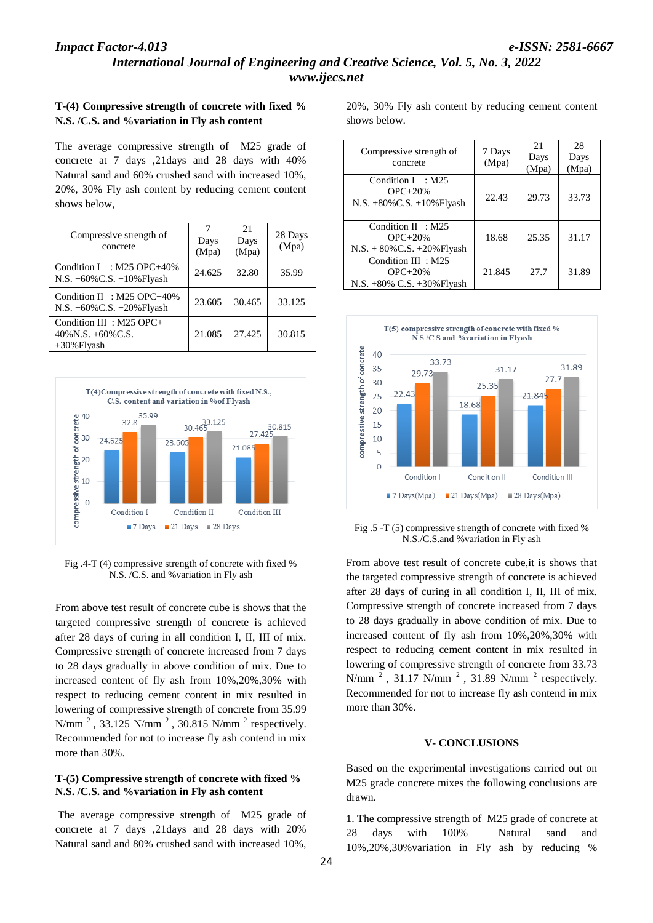# *International Journal of Engineering and Creative Science, Vol. 5, No. 3, 2022 www.ijecs.net*

## **T-(4) Compressive strength of concrete with fixed % N.S. /C.S. and %variation in Fly ash content**

The average compressive strength of M25 grade of concrete at 7 days ,21days and 28 days with 40% Natural sand and 60% crushed sand with increased 10%, 20%, 30% Fly ash content by reducing cement content shows below,

| Compressive strength of<br>concrete                                    | 7<br>Days<br>(Mpa) | 21<br>Days<br>(Mpa) | 28 Days<br>(Mpa) |
|------------------------------------------------------------------------|--------------------|---------------------|------------------|
| Condition I : M25 OPC+40%<br>N.S. +60%C.S. +10%Flyash                  | 24.625             | 32.80               | 35.99            |
| Condition II : $M25$ OPC+40%<br>N.S. +60%C.S. +20%Flyash               | 23.605             | 30.465              | 33.125           |
| Condition III : M25 OPC+<br>$40\%$ N.S. $+60\%$ C.S.<br>$+30\%$ Flyash | 21.085             | 27.425              | 30.815           |



Fig .4-T (4) compressive strength of concrete with fixed % N.S. /C.S. and %variation in Fly ash

From above test result of concrete cube is shows that the targeted compressive strength of concrete is achieved after 28 days of curing in all condition I, II, III of mix. Compressive strength of concrete increased from 7 days to 28 days gradually in above condition of mix. Due to increased content of fly ash from 10%,20%,30% with respect to reducing cement content in mix resulted in lowering of compressive strength of concrete from 35.99 N/mm<sup>2</sup>, 33.125 N/mm<sup>2</sup>, 30.815 N/mm<sup>2</sup> respectively. Recommended for not to increase fly ash contend in mix more than 30%.

## **T-(5) Compressive strength of concrete with fixed % N.S. /C.S. and %variation in Fly ash content**

The average compressive strength of M25 grade of concrete at 7 days ,21days and 28 days with 20% Natural sand and 80% crushed sand with increased 10%,

20%, 30% Fly ash content by reducing cement content shows below.

| Compressive strength of<br>concrete                                   | 7 Days<br>(Mpa) | 21<br>Days<br>(Mpa) | 28<br>Days<br>(Mpa) |
|-----------------------------------------------------------------------|-----------------|---------------------|---------------------|
| Condition $I : M25$<br>$OPC+20%$<br>$N.S. +80\% C.S. +10\%$ Flyash    | 22.43           | 29.73               | 33.73               |
| Condition $II : M25$<br>$OPC+20%$<br>$N.S. + 80\% C.S. + 20\% Flyash$ | 18.68           | 25.35               | 31.17               |
| Condition III: M25<br>$OPC+20%$<br>N.S. +80% C.S. +30% Flyash         | 21.845          | 27.7                | 31.89               |



Fig .5 -T (5) compressive strength of concrete with fixed % N.S./C.S.and %variation in Fly ash

From above test result of concrete cube,it is shows that the targeted compressive strength of concrete is achieved after 28 days of curing in all condition I, II, III of mix. Compressive strength of concrete increased from 7 days to 28 days gradually in above condition of mix. Due to increased content of fly ash from 10%,20%,30% with respect to reducing cement content in mix resulted in lowering of compressive strength of concrete from 33.73 N/mm  $^2$ , 31.17 N/mm  $^2$ , 31.89 N/mm  $^2$  respectively. Recommended for not to increase fly ash contend in mix more than 30%.

## **V- CONCLUSIONS**

Based on the experimental investigations carried out on M25 grade concrete mixes the following conclusions are drawn.

1. The compressive strength of M25 grade of concrete at 28 days with 100% Natural sand and 10%,20%,30%variation in Fly ash by reducing %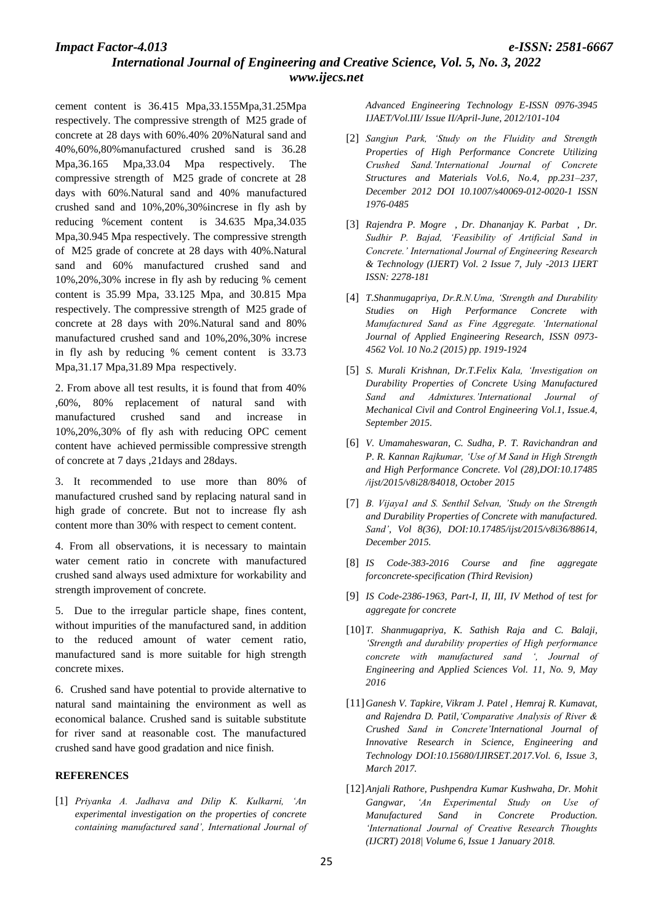cement content is 36.415 Mpa,33.155Mpa,31.25Mpa respectively. The compressive strength of M25 grade of concrete at 28 days with 60%.40% 20%Natural sand and 40%,60%,80%manufactured crushed sand is 36.28 Mpa,36.165 Mpa,33.04 Mpa respectively. The compressive strength of M25 grade of concrete at 28 days with 60%.Natural sand and 40% manufactured crushed sand and 10%,20%,30%increse in fly ash by reducing %cement content is 34.635 Mpa,34.035 Mpa,30.945 Mpa respectively. The compressive strength of M25 grade of concrete at 28 days with 40%.Natural sand and 60% manufactured crushed sand and 10%,20%,30% increse in fly ash by reducing % cement content is 35.99 Mpa, 33.125 Mpa, and 30.815 Mpa respectively. The compressive strength of M25 grade of concrete at 28 days with 20%.Natural sand and 80% manufactured crushed sand and 10%,20%,30% increse in fly ash by reducing % cement content is 33.73 Mpa,31.17 Mpa,31.89 Mpa respectively.

2. From above all test results, it is found that from 40% ,60%, 80% replacement of natural sand with manufactured crushed sand and increase in 10%,20%,30% of fly ash with reducing OPC cement content have achieved permissible compressive strength of concrete at 7 days ,21days and 28days.

3. It recommended to use more than 80% of manufactured crushed sand by replacing natural sand in high grade of concrete. But not to increase fly ash content more than 30% with respect to cement content.

4. From all observations, it is necessary to maintain water cement ratio in concrete with manufactured crushed sand always used admixture for workability and strength improvement of concrete.

5. Due to the irregular particle shape, fines content, without impurities of the manufactured sand, in addition to the reduced amount of water cement ratio, manufactured sand is more suitable for high strength concrete mixes.

6. Crushed sand have potential to provide alternative to natural sand maintaining the environment as well as economical balance. Crushed sand is suitable substitute for river sand at reasonable cost. The manufactured crushed sand have good gradation and nice finish.

#### **REFERENCES**

[1] *Priyanka A. Jadhava and Dilip K. Kulkarni, 'An experimental investigation on the properties of concrete containing manufactured sand', International Journal of*  *Advanced Engineering Technology E-ISSN 0976-3945 IJAET/Vol.III/ Issue II/April-June, 2012/101-104*

- [2] *Sangjun Park, 'Study on the Fluidity and Strength Properties of High Performance Concrete Utilizing Crushed Sand.'International Journal of Concrete Structures and Materials Vol.6, No.4, pp.231–237, December 2012 DOI 10.1007/s40069-012-0020-1 ISSN 1976-0485*
- [3] *Rajendra P. Mogre , Dr. Dhananjay K. Parbat , Dr. Sudhir P. Bajad, 'Feasibility of Artificial Sand in Concrete.' International Journal of Engineering Research & Technology (IJERT) Vol. 2 Issue 7, July -2013 IJERT ISSN: 2278-181*
- [4] *T.Shanmugapriya, Dr.R.N.Uma, 'Strength and Durability Studies on High Performance Concrete with Manufactured Sand as Fine Aggregate. 'International Journal of Applied Engineering Research, ISSN 0973- 4562 Vol. 10 No.2 (2015) pp. 1919-1924*
- [5] *S. Murali Krishnan, Dr.T.Felix Kala, 'Investigation on Durability Properties of Concrete Using Manufactured Sand and Admixtures.'International Journal of Mechanical Civil and Control Engineering Vol.1, Issue.4, September 2015.*
- [6] *V. Umamaheswaran, C. Sudha, P. T. Ravichandran and P. R. Kannan Rajkumar, 'Use of M Sand in High Strength and High Performance Concrete. Vol (28),DOI:10.17485 /ijst/2015/v8i28/84018, October 2015*
- [7] *B. Vijaya1 and S. Senthil Selvan, 'Study on the Strength and Durability Properties of Concrete with manufactured. Sand', Vol 8(36), DOI:10.17485/ijst/2015/v8i36/88614, December 2015.*
- [8] *IS Code-383-2016 Course and fine aggregate forconcrete-specification (Third Revision)*
- [9] *IS Code-2386-1963, Part-I, II, III, IV Method of test for aggregate for concrete*
- [10] *T. Shanmugapriya, K. Sathish Raja and C. Balaji, 'Strength and durability properties of High performance concrete with manufactured sand ', Journal of Engineering and Applied Sciences Vol. 11, No. 9, May 2016*
- [11]*Ganesh V. Tapkire, Vikram J. Patel , Hemraj R. Kumavat, and Rajendra D. Patil,'Comparative Analysis of River & Crushed Sand in Concrete'International Journal of Innovative Research in Science, Engineering and Technology DOI:10.15680/IJIRSET.2017.Vol. 6, Issue 3, March 2017.*
- [12]*Anjali Rathore, Pushpendra Kumar Kushwaha, Dr. Mohit Gangwar, 'An Experimental Study on Use of Manufactured Sand in Concrete Production. 'International Journal of Creative Research Thoughts (IJCRT) 2018| Volume 6, Issue 1 January 2018.*